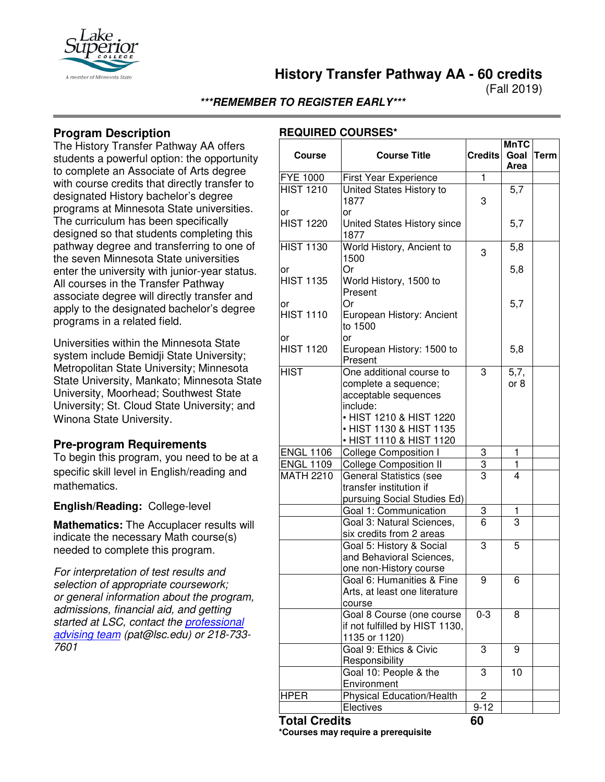

**History Transfer Pathway AA - 60 credits**

(Fall 2019)

**\*\*\*REMEMBER TO REGISTER EARLY\*\*\***

## **Program Description**

The History Transfer Pathway AA offers students a powerful option: the opportunity to complete an Associate of Arts degree with course credits that directly transfer to designated History bachelor's degree programs at Minnesota State universities. The curriculum has been specifically designed so that students completing this pathway degree and transferring to one of the seven Minnesota State universities enter the university with junior-year status. All courses in the Transfer Pathway associate degree will directly transfer and apply to the designated bachelor's degree programs in a related field.

Universities within the Minnesota State system include Bemidji State University; Metropolitan State University; Minnesota State University, Mankato; Minnesota State University, Moorhead; Southwest State University; St. Cloud State University; and Winona State University.

## **Pre-program Requirements**

To begin this program, you need to be at a specific skill level in English/reading and mathematics.

### **English/Reading:** College-level

**Mathematics:** The Accuplacer results will indicate the necessary Math course(s) needed to complete this program.

*For interpretation of test results and selection of appropriate coursework; or general information about the program, admissions, financial aid, and getting started at LSC, contact the [professional](mailto:pat@lsc.edu)  [advising team](mailto:pat@lsc.edu) (pat@lsc.edu) or 218-733- 7601*

| <b>Course</b>          | <b>Course Title</b>                                                                                                                                                   | <b>Credits</b> | <b>MnTC</b><br>Goal<br>Area | <b>Term</b> |
|------------------------|-----------------------------------------------------------------------------------------------------------------------------------------------------------------------|----------------|-----------------------------|-------------|
| <b>FYE 1000</b>        | <b>First Year Experience</b>                                                                                                                                          | 1              |                             |             |
| <b>HIST 1210</b>       | United States History to<br>1877                                                                                                                                      | 3              | 5,7                         |             |
| or<br><b>HIST 1220</b> | or<br>United States History since<br>1877                                                                                                                             |                | 5,7                         |             |
| <b>HIST 1130</b>       | World History, Ancient to<br>1500                                                                                                                                     | 3              | 5,8                         |             |
| or<br><b>HIST 1135</b> | Or<br>World History, 1500 to<br>Present                                                                                                                               |                | 5,8                         |             |
| or<br><b>HIST 1110</b> | Or<br>European History: Ancient<br>to 1500<br>or                                                                                                                      |                | 5,7                         |             |
| or<br><b>HIST 1120</b> | European History: 1500 to<br>Present                                                                                                                                  |                | 5,8                         |             |
| <b>HIST</b>            | One additional course to<br>complete a sequence;<br>acceptable sequences<br>include:<br>• HIST 1210 & HIST 1220<br>• HIST 1130 & HIST 1135<br>• HIST 1110 & HIST 1120 | 3              | 5,7,<br>or 8                |             |
| <b>ENGL 1106</b>       | <b>College Composition I</b>                                                                                                                                          | 3              | 1                           |             |
| <b>ENGL 1109</b>       |                                                                                                                                                                       | 3              | 1                           |             |
| <b>MATH 2210</b>       | <b>College Composition II</b><br><b>General Statistics (see</b><br>transfer institution if<br>pursuing Social Studies Ed)                                             | 3              | 4                           |             |
|                        | Goal 1: Communication                                                                                                                                                 | 3              | 1                           |             |
|                        | Goal 3: Natural Sciences,<br>six credits from 2 areas                                                                                                                 | 6              | 3                           |             |
|                        | Goal 5: History & Social<br>and Behavioral Sciences,<br>one non-History course                                                                                        | 3              | 5                           |             |
|                        | Goal 6: Humanities & Fine<br>Arts, at least one literature<br>course                                                                                                  | 9              | 6                           |             |
|                        | Goal 8 Course (one course<br>if not fulfilled by HIST 1130,<br>1135 or 1120)                                                                                          | $0 - 3$        | 8                           |             |
|                        | Goal 9: Ethics & Civic<br>Responsibility                                                                                                                              | 3              | 9                           |             |
|                        | Goal 10: People & the<br>Environment                                                                                                                                  | 3              | 10                          |             |
| <b>HPER</b>            | Physical Education/Health                                                                                                                                             | 2              |                             |             |
|                        | Electives                                                                                                                                                             | $9 - 12$       |                             |             |
| <b>Total Credits</b>   |                                                                                                                                                                       | 60             |                             |             |

**\*Courses may require a prerequisite**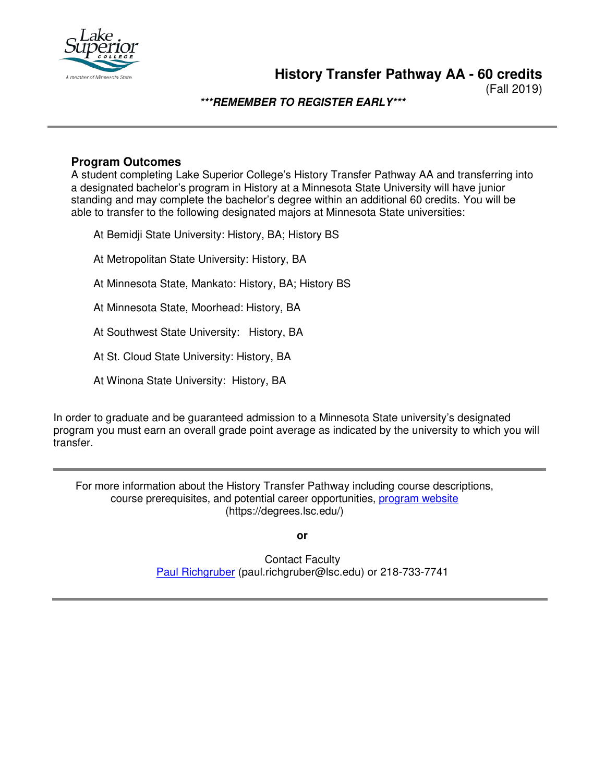

(Fall 2019)

**\*\*\*REMEMBER TO REGISTER EARLY\*\*\***

## **Program Outcomes**

A student completing Lake Superior College's History Transfer Pathway AA and transferring into a designated bachelor's program in History at a Minnesota State University will have junior standing and may complete the bachelor's degree within an additional 60 credits. You will be able to transfer to the following designated majors at Minnesota State universities:

At Bemidji State University: History, BA; History BS

At Metropolitan State University: History, BA

At Minnesota State, Mankato: History, BA; History BS

At Minnesota State, Moorhead: History, BA

At Southwest State University: History, BA

At St. Cloud State University: History, BA

At Winona State University: History, BA

In order to graduate and be guaranteed admission to a Minnesota State university's designated program you must earn an overall grade point average as indicated by the university to which you will transfer.

For more information about the History Transfer Pathway including course descriptions, course prerequisites, and potential career opportunities, [program website](https://degrees.lsc.edu/) (https://degrees.lsc.edu/)

**or**

Contact Faculty [Paul Richgruber](mailto:paul.richgruber@lsc.edu) (paul.richgruber@lsc.edu) or 218-733-7741